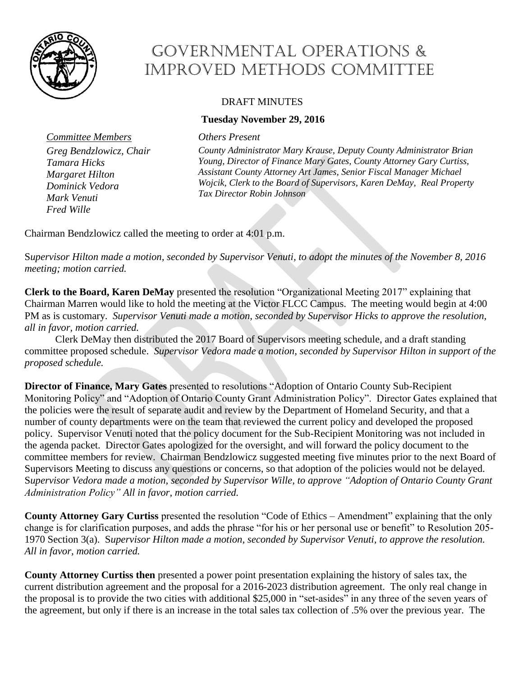

*Fred Wille*

## Governmental Operations & Improved Methods Committee

## DRAFT MINUTES

## **Tuesday November 29, 2016**

*Committee Members Others Present*

*County Administrator Mary Krause, Deputy County Administrator Brian Young, Director of Finance Mary Gates, County Attorney Gary Curtiss, Assistant County Attorney Art James, Senior Fiscal Manager Michael Wojcik, Clerk to the Board of Supervisors, Karen DeMay, Real Property Tax Director Robin Johnson*

Chairman Bendzlowicz called the meeting to order at 4:01 p.m.

S*upervisor Hilton made a motion, seconded by Supervisor Venuti, to adopt the minutes of the November 8, 2016 meeting; motion carried.* 

**Clerk to the Board, Karen DeMay** presented the resolution "Organizational Meeting 2017" explaining that Chairman Marren would like to hold the meeting at the Victor FLCC Campus. The meeting would begin at 4:00 PM as is customary. *Supervisor Venuti made a motion, seconded by Supervisor Hicks to approve the resolution, all in favor, motion carried.*

Clerk DeMay then distributed the 2017 Board of Supervisors meeting schedule, and a draft standing committee proposed schedule. *Supervisor Vedora made a motion, seconded by Supervisor Hilton in support of the proposed schedule.*

**Director of Finance, Mary Gates** presented to resolutions "Adoption of Ontario County Sub-Recipient Monitoring Policy" and "Adoption of Ontario County Grant Administration Policy". Director Gates explained that the policies were the result of separate audit and review by the Department of Homeland Security, and that a number of county departments were on the team that reviewed the current policy and developed the proposed policy. Supervisor Venuti noted that the policy document for the Sub-Recipient Monitoring was not included in the agenda packet. Director Gates apologized for the oversight, and will forward the policy document to the committee members for review. Chairman Bendzlowicz suggested meeting five minutes prior to the next Board of Supervisors Meeting to discuss any questions or concerns, so that adoption of the policies would not be delayed. S*upervisor Vedora made a motion, seconded by Supervisor Wille, to approve "Adoption of Ontario County Grant Administration Policy" All in favor, motion carried.* 

**County Attorney Gary Curtiss** presented the resolution "Code of Ethics – Amendment" explaining that the only change is for clarification purposes, and adds the phrase "for his or her personal use or benefit" to Resolution 205- 1970 Section 3(a). S*upervisor Hilton made a motion, seconded by Supervisor Venuti, to approve the resolution. All in favor, motion carried.* 

**County Attorney Curtiss then** presented a power point presentation explaining the history of sales tax, the current distribution agreement and the proposal for a 2016-2023 distribution agreement. The only real change in the proposal is to provide the two cities with additional \$25,000 in "set-asides" in any three of the seven years of the agreement, but only if there is an increase in the total sales tax collection of .5% over the previous year. The

*Greg Bendzlowicz, Chair Tamara Hicks Margaret Hilton Dominick Vedora Mark Venuti*